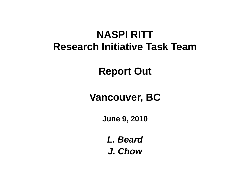### **NASPI RITTResearch Initiative Task Team**

#### **Report Out**

#### **Vancouver, BC**

**June 9, 2010**

*L. BeardJ. Chow*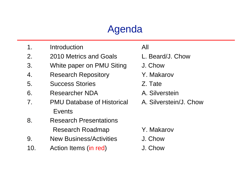### Agenda

- 1. Introduction All
- 2. 2010 Metrics and Goals L. Beard/J. Chow
- 3. White paper on PMU Siting J. Chow
- 4. Research Repository **X. Makarov**
- 5. Success Stories Z. Tate
- 6. Researcher NDA
- 7. PMU Database of Historical A. Silverstein/J. ChowEvents
- 8. Research PresentationsResearch Roadmap Y. Makarov
- 9. New Business/Activities J. Chow
- 10. Action Items (in red) J. Chow
- 
- 
- 
- 
- 
- A. Silverstein
- 

- 
- 
-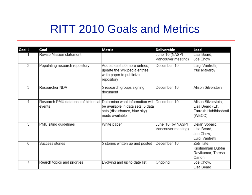## RITT 2010 Goals and Metrics

| Goal #         | Goal                                                                                       | Metric                                                                                                   | <b>Deliverable</b>                       | Lead                                                                       |
|----------------|--------------------------------------------------------------------------------------------|----------------------------------------------------------------------------------------------------------|------------------------------------------|----------------------------------------------------------------------------|
|                | Revise Mission statement                                                                   |                                                                                                          | June '10 (NASPI<br>Vancouver meeting)    | Lisa Beard,<br>Joe Chow                                                    |
| $\overline{2}$ | Populating research repository                                                             | Add at least 50 more entries;<br>update the Wikipedia entries;<br>write paper to publicize<br>repository | December '10                             | Luigi Vanfretti,<br>Yuri Makarov                                           |
| 3              | Researcher NDA                                                                             | 5 research groups signing<br>document                                                                    | December '10                             | Alison Silverstein                                                         |
| 4              | Research PMU database of historical Determine what information will December '10<br>events | be available in data sets; 5 data<br>sets (disturbance, blue sky)<br>made available                      |                                          | Alison Silverstein,<br>Lisa Beard (EI),<br>Farrokh Habibiashrafi<br>(WECC) |
| 5              | PMU siting guidelines                                                                      | White paper                                                                                              | June '10 (by NASPI<br>Vancouver meeting) | Dejan Sobajic,<br>Lisa Beard,<br>Joe Chow,<br>Luigi Vanfretti              |
| 6              | Success stories                                                                            | 5 stories written up and posted                                                                          | December '10                             | Zeb Tate,<br>Krishnanjan Dubba<br>Ravikumar, Teresa<br>Carlon              |
|                | Rearch topics and priorties                                                                | Evolving and up-to-date list                                                                             | Ongoing                                  | Joe Chow,<br>Lisa Beard                                                    |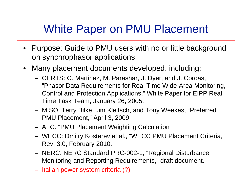# White Paper on PMU Placement

- Purpose: Guide to PMU users with no or little background on synchrophasor applications
- • Many placement documents developed, including:
	- CERTS: C. Martinez, M. Parashar, J. Dyer, and J. Coroas, "Phasor Data Requirements for Real Time Wide-Area Monitoring, Control and Protection Applications," White Paper for EIPP Real Time Task Team, January 26, 2005.
	- MISO: Terry Bilke, Jim Kleitsch, and Tony Weekes, "Preferred PMU Placement," April 3, 2009.
	- ATC: "PMU Placement Weighting Calculation"
	- WECC: Dmitry Kosterev et al., "WECC PMU Placement Criteria," Rev. 3.0, February 2010.
	- NERC: NERC Standard PRC-002-1, "Regional Disturbance Monitoring and Reporting Requirements," draft document.
	- Italian power system criteria (?)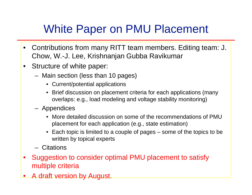# White Paper on PMU Placement

- $\bullet$  Contributions from many RITT team members. Editing team: J. Chow, W.-J. Lee, Krishnanjan Gubba Ravikumar
- $\bullet$  Structure of white paper:
	- Main section (less than 10 pages)
		- Current/potential applications
		- Brief discussion on placement criteria for each applications (many overlaps: e.g., load modeling and voltage stability monitoring)
	- Appendices
		- More detailed discussion on some of the recommendations of PMU placement for each application (e.g., state estimation)
		- Each topic is limited to a couple of pages some of the topics to be written by topical experts
	- Citations
- • Suggestion to consider optimal PMU placement to satisfy multiple criteria
- •A draft version by August.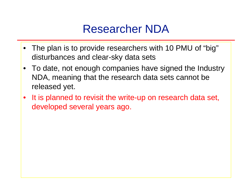### Researcher NDA

- The plan is to provide researchers with 10 PMU of "big" disturbances and clear-sky data sets
- To date, not enough companies have signed the Industry NDA, meaning that the research data sets cannot be released yet.
- •It is planned to revisit the write-up on research data set, developed several years ago.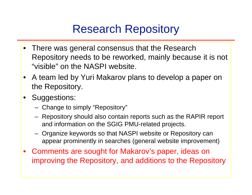## Research Repository

- There was general consensus that the Research Repository needs to be reworked, mainly because it is not "visible" on the NASPI website.
- A team led by Yuri Makarov plans to develop a paper on the Repository.
- Suggestions:
	- Change to simply "Repository"
	- Repository should also contain reports such as the RAPIR report and information on the SGIG PMU-related projects.
	- Organize keywords so that NASPI website or Repository can appear prominently in searches (general website improvement)
- Comments are sought for Makarov's paper, ideas on improving the Repository, and additions to the Repository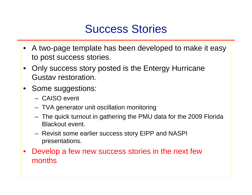### Success Stories

- A two-page template has been developed to make it easy to post success stories.
- $\bullet$  Only success story posted is the Entergy Hurricane Gustav restoration.
- Some suggestions:
	- CAISO event
	- TVA generator unit oscillation monitoring
	- The quick turnout in gathering the PMU data for the 2009 Florida Blackout event.
	- Revisit some earlier success story EIPP and NASPI presentations.
- $\bullet$  Develop a few new success stories in the next few months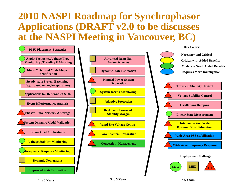#### **2010 NASPI Roadmap for S ynchrophasor Applications (DRAFT v2.0 to be discusses at the NASPI Meeting in Vancouver, BC)**